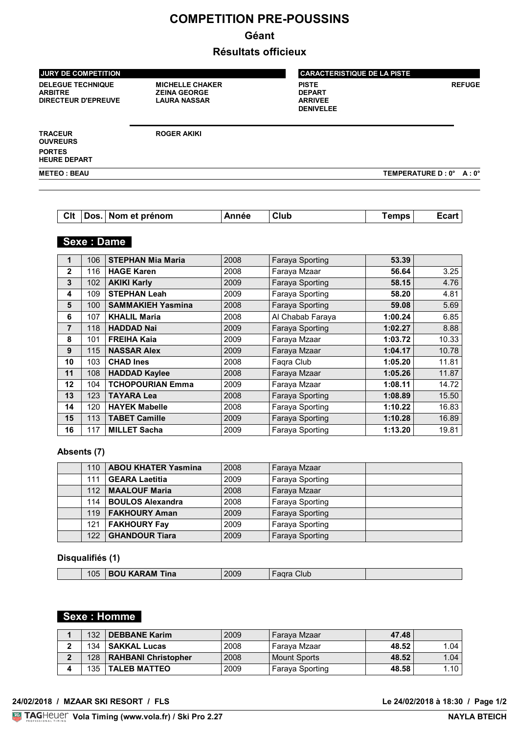# **COMPETITION PRE-POUSSINS**

# **Géant**

# **Résultats officieux**

| <b>JURY DE COMPETITION</b>                                               |                                                                      | <b>CARACTERISTIQUE DE LA PISTE</b>                                  |                         |  |  |
|--------------------------------------------------------------------------|----------------------------------------------------------------------|---------------------------------------------------------------------|-------------------------|--|--|
| <b>DELEGUE TECHNIQUE</b><br><b>ARBITRE</b><br><b>DIRECTEUR D'EPREUVE</b> | <b>MICHELLE CHAKER</b><br><b>ZEINA GEORGE</b><br><b>LAURA NASSAR</b> | <b>PISTE</b><br><b>DEPART</b><br><b>ARRIVEE</b><br><b>DENIVELEE</b> | <b>REFUGE</b>           |  |  |
| <b>TRACEUR</b><br><b>OUVREURS</b>                                        | <b>ROGER AKIKI</b>                                                   |                                                                     |                         |  |  |
| <b>PORTES</b><br><b>HEURE DEPART</b>                                     |                                                                      |                                                                     |                         |  |  |
| <b>METEO: BEAU</b>                                                       |                                                                      |                                                                     | TEMPERATURE D: 0° A: 0° |  |  |

| Cit Dos. Nom et prénom<br>l Club<br><b>Temps</b> |  |  | Année |  |  | <b>Ecart</b> |
|--------------------------------------------------|--|--|-------|--|--|--------------|
|--------------------------------------------------|--|--|-------|--|--|--------------|

# **Sexe : Dame**

|             | 106 | <b>STEPHAN Mia Maria</b> | 2008 | <b>Faraya Sporting</b> | 53.39   |       |
|-------------|-----|--------------------------|------|------------------------|---------|-------|
| $\mathbf 2$ | 116 | <b>HAGE Karen</b>        | 2008 | Faraya Mzaar           | 56.64   | 3.25  |
| 3           | 102 | <b>AKIKI Karly</b>       | 2009 | <b>Faraya Sporting</b> | 58.15   | 4.76  |
| 4           | 109 | <b>STEPHAN Leah</b>      | 2009 | Faraya Sporting        | 58.20   | 4.81  |
| 5           | 100 | <b>SAMMAKIEH Yasmina</b> | 2008 | Faraya Sporting        | 59.08   | 5.69  |
| 6           | 107 | <b>KHALIL Maria</b>      | 2008 | Al Chabab Faraya       | 1:00.24 | 6.85  |
| 7           | 118 | <b>HADDAD Nai</b>        | 2009 | Faraya Sporting        | 1:02.27 | 8.88  |
| 8           | 101 | <b>FREIHA Kaia</b>       | 2009 | Faraya Mzaar           | 1:03.72 | 10.33 |
| 9           | 115 | <b>NASSAR Alex</b>       | 2009 | Faraya Mzaar           | 1:04.17 | 10.78 |
| 10          | 103 | <b>CHAD Ines</b>         | 2008 | Fagra Club             | 1:05.20 | 11.81 |
| 11          | 108 | <b>HADDAD Kaylee</b>     | 2008 | Faraya Mzaar           | 1:05.26 | 11.87 |
| 12          | 104 | <b>TCHOPOURIAN Emma</b>  | 2009 | Faraya Mzaar           | 1:08.11 | 14.72 |
| 13          | 123 | <b>TAYARA Lea</b>        | 2008 | Faraya Sporting        | 1:08.89 | 15.50 |
| 14          | 120 | <b>HAYEK Mabelle</b>     | 2008 | Faraya Sporting        | 1:10.22 | 16.83 |
| 15          | 113 | <b>TABET Camille</b>     | 2009 | Faraya Sporting        | 1:10.28 | 16.89 |
| 16          | 117 | <b>MILLET Sacha</b>      | 2009 | Faraya Sporting        | 1:13.20 | 19.81 |

## **Absents (7)**

| 110 | <b>ABOU KHATER Yasmina</b> | 2008 | Faraya Mzaar    |  |
|-----|----------------------------|------|-----------------|--|
| 111 | <b>GEARA Laetitia</b>      | 2009 | Faraya Sporting |  |
| 112 | <b>MAALOUF Maria</b>       | 2008 | Faraya Mzaar    |  |
| 114 | <b>BOULOS Alexandra</b>    | 2008 | Faraya Sporting |  |
| 119 | <b>FAKHOURY Aman</b>       | 2009 | Faraya Sporting |  |
| 121 | <b>FAKHOURY Fay</b>        | 2009 | Faraya Sporting |  |
| 122 | <b>GHANDOUR Tiara</b>      | 2009 | Faraya Sporting |  |

#### **Disqualifiés (1)**

| 105 | $\sim$ MM Ting<br>∡ina<br>πи.<br>____________ | 2009<br>____ | ilut<br>____ |  |
|-----|-----------------------------------------------|--------------|--------------|--|
|     |                                               |              |              |  |

# **Sexe : Homme**

| 132 | <b>DEBBANE Karim</b>       | 2009 | Farava Mzaar        | 47.48 |      |
|-----|----------------------------|------|---------------------|-------|------|
| 134 | <b>SAKKAL Lucas</b>        | 2008 | Farava Mzaar        | 48.52 | 1.04 |
| 128 | <b>RAHBANI Christopher</b> | 2008 | <b>Mount Sports</b> | 48.52 | 1.04 |
| 135 | <b>TALEB MATTEO</b>        | 2009 | Faraya Sporting     | 48.58 | 1.10 |

Le 24/02/2018 à 18:30 / Page 1/2<br>NAYLA BTEICH